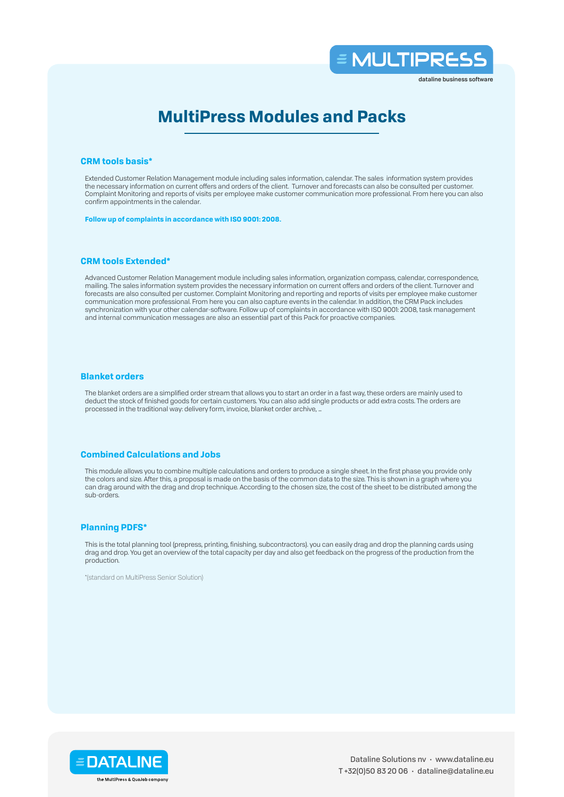

dataline business software

# **MultiPress Modules and Packs**

#### **CRM tools basis\***

Extended Customer Relation Management module including sales information, calendar. The sales information system provides the necessary information on current offers and orders of the client. Turnover and forecasts can also be consulted per customer. Complaint Monitoring and reports of visits per employee make customer communication more professional. From here you can also confirm appointments in the calendar.

**Follow up of complaints in accordance with ISO 9001: 2008.**

# **CRM tools Extended\***

Advanced Customer Relation Management module including sales information, organization compass, calendar, correspondence, mailing. The sales information system provides the necessary information on current offers and orders of the client. Turnover and forecasts are also consulted per customer. Complaint Monitoring and reporting and reports of visits per employee make customer communication more professional. From here you can also capture events in the calendar. In addition, the CRM Pack includes synchronization with your other calendar-software. Follow up of complaints in accordance with ISO 9001: 2008, task management and internal communication messages are also an essential part of this Pack for proactive companies.

#### **Blanket orders**

The blanket orders are a simplified order stream that allows you to start an order in a fast way, these orders are mainly used to deduct the stock of finished goods for certain customers. You can also add single products or add extra costs. The orders are processed in the traditional way: delivery form, invoice, blanket order archive, …

## **Combined Calculations and Jobs**

This module allows you to combine multiple calculations and orders to produce a single sheet. In the first phase you provide only the colors and size. After this, a proposal is made on the basis of the common data to the size. This is shown in a graph where you can drag around with the drag and drop technique. According to the chosen size, the cost of the sheet to be distributed among the sub-orders.

#### **Planning PDFS\***

This is the total planning tool (prepress, printing, finishing, subcontractors). you can easily drag and drop the planning cards using drag and drop. You get an overview of the total capacity per day and also get feedback on the progress of the production from the production.

\*(standard on MultiPress Senior Solution)

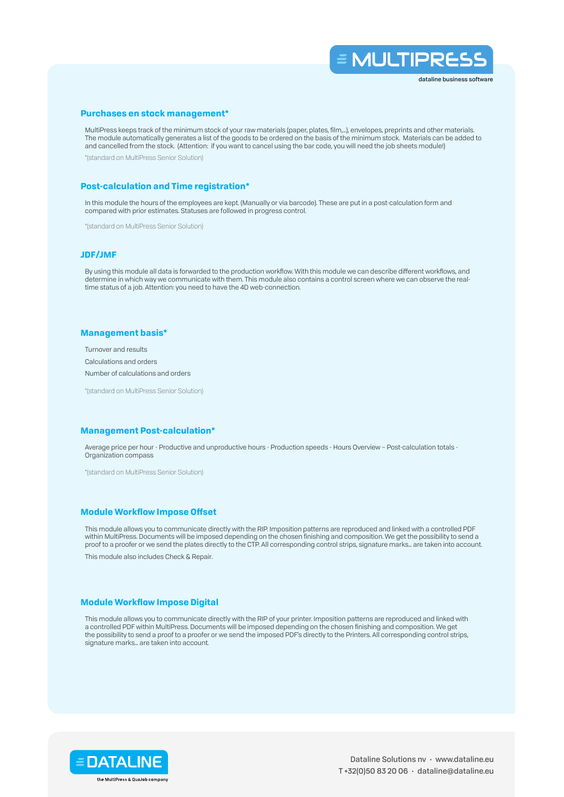

## **Purchases en stock management\***

MultiPress keeps track of the minimum stock of your raw materials (paper, plates, film,…), envelopes, preprints and other materials. The module automatically generates a list of the goods to be ordered on the basis of the minimum stock. Materials can be added to and cancelled from the stock. (Attention: if you want to cancel using the bar code, you will need the job sheets module!)

\*(standard on MultiPress Senior Solution)

## **Post-calculation and Time registration\***

In this module the hours of the employees are kept. (Manually or via barcode). These are put in a post-calculation form and compared with prior estimates. Statuses are followed in progress control.

\*(standard on MultiPress Senior Solution)

#### **JDF/JMF**

By using this module all data is forwarded to the production workflow. With this module we can describe different workflows, and determine in which way we communicate with them. This module also contains a control screen where we can observe the realtime status of a job. Attention: you need to have the 4D web-connection.

## **Management basis\***

Turnover and results Calculations and orders

Number of calculations and orders

\*(standard on MultiPress Senior Solution)

#### **Management Post-calculation\***

Average price per hour - Productive and unproductive hours - Production speeds - Hours Overview – Post-calculation totals - Organization compass

\*(standard on MultiPress Senior Solution)

## **Module Workflow Impose Offset**

This module allows you to communicate directly with the RIP. Imposition patterns are reproduced and linked with a controlled PDF within MultiPress. Documents will be imposed depending on the chosen finishing and composition. We get the possibility to send a proof to a proofer or we send the plates directly to the CTP. All corresponding control strips, signature marks… are taken into account.

This module also includes Check & Repair.

## **Module Workflow Impose Digital**

This module allows you to communicate directly with the RIP of your printer. Imposition patterns are reproduced and linked with a controlled PDF within MultiPress. Documents will be imposed depending on the chosen finishing and composition. We get the possibility to send a proof to a proofer or we send the imposed PDF's directly to the Printers. All corresponding control strips, signature marks… are taken into account.

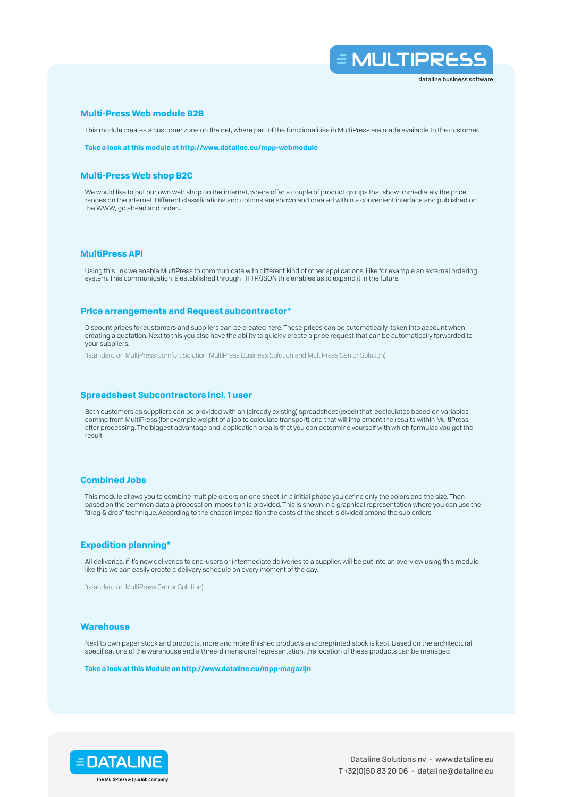

#### **Multi-Press Web module B2B**

This module creates a customer zone on the net, where part of the functionalities in MultiPress are made available to the customer.

**Take a look at this module at http://www.dataline.eu/mpp-webmodule**

## **Multi-Press Web shop B2C**

We would like to put our own web shop on the internet, where offer a couple of product groups that show immediately the price ranges on the internet. Different classifications and options are shown and created within a convenient interface and published on the WWW, go ahead and order…

# **MultiPress API**

Using this link we enable MultiPress to communicate with different kind of other applications. Like for example an external ordering system. This communication is established through HTTP/JSON this enables us to expand it in the future.

## **Price arrangements and Request subcontractor\***

Discount prices for customers and suppliers can be created here. These prices can be automatically taken into account when creating a quotation. Next to this you also have the ability to quickly create a price request that can be automatically forwarded to your suppliers.

\*(standard on MultiPress Comfort Solution, MultiPress Business Solution and MultiPress Senior Solution)

#### **Spreadsheet Subcontractors incl. 1 user**

Both customers as suppliers can be provided with an (already existing) spreadsheet (excel) that ècalculates based on variables coming from MultiPress (for example weight of a job to calculate transport) and that will implement the results within MultiPress after processing. The biggest advantage and application area is that you can determine yourself with which formulas you get the result.

#### **Combined Jobs**

This module allows you to combine multiple orders on one sheet. In a initial phase you define only the colors and the size. Then based on the common data a proposal on imposition is provided. This is shown in a graphical representation where you can use the "drag & drop" technique. According to the chosen imposition the costs of the sheet is divided among the sub orders.

# **Expedition planning\***

All deliveries, if it's now deliveries to end-users or intermediate deliveries to a supplier, will be put into an overview using this module, like this we can easily create a delivery schedule on every moment of the day.

\*(standard on MultiPress Senior Solution)

#### **Warehouse**

Next to own paper stock and products, more and more finished products and preprinted stock is kept. Based on the architectural specifications of the warehouse and a three-dimensional representation, the location of these products can be managed

**Take a look at this Module on http://www.dataline.eu/mpp-magazijn**